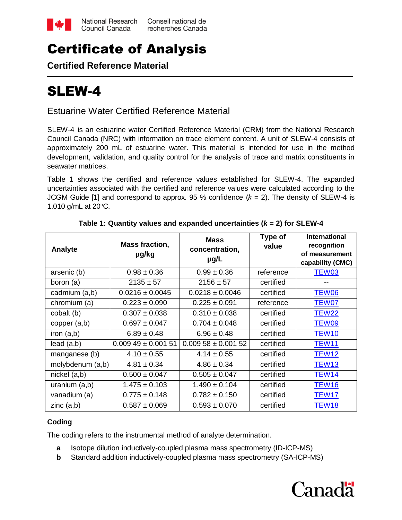

## Certificate of Analysis

**Certified Reference Material**

# SLEW-4

## Estuarine Water Certified Reference Material

SLEW-4 is an estuarine water Certified Reference Material (CRM) from the National Research Council Canada (NRC) with information on trace element content. A unit of SLEW-4 consists of approximately 200 mL of estuarine water. This material is intended for use in the method development, validation, and quality control for the analysis of trace and matrix constituents in seawater matrices.

Table 1 shows the certified and reference values established for SLEW-4. The expanded uncertainties associated with the certified and reference values were calculated according to the JCGM Guide [1] and correspond to approx. 95 % confidence  $(k = 2)$ . The density of SLEW-4 is 1.010 g/mL at 20°C.

| Analyte          | <b>Mass fraction,</b><br>µg/kg | <b>Mass</b><br>concentration,<br>$\mu$ g/L | Type of<br>value | <b>International</b><br>recognition<br>of measurement<br>capability (CMC) |
|------------------|--------------------------------|--------------------------------------------|------------------|---------------------------------------------------------------------------|
| arsenic (b)      | $0.98 \pm 0.36$                | $0.99 \pm 0.36$                            | reference        | TEW03                                                                     |
| boron (a)        | $2135 \pm 57$                  | $2156 \pm 57$                              | certified        |                                                                           |
| cadmium (a,b)    | $0.0216 \pm 0.0045$            | $0.0218 \pm 0.0046$                        | certified        | TEW06                                                                     |
| chromium (a)     | $0.223 \pm 0.090$              | $0.225 \pm 0.091$                          | reference        | TEW07                                                                     |
| cobalt (b)       | $0.307 \pm 0.038$              | $0.310 \pm 0.038$                          | certified        | <b>TEW22</b>                                                              |
| copper $(a,b)$   | $0.697 \pm 0.047$              | $0.704 \pm 0.048$                          | certified        | TEW09                                                                     |
| iron $(a,b)$     | $6.89 \pm 0.48$                | $6.96 \pm 0.48$                            | certified        | TEW <sub>10</sub>                                                         |
| lead(a,b)        | $0.00949 \pm 0.00151$          | $0.00958 \pm 0.00152$                      | certified        | TEW <sub>11</sub>                                                         |
| manganese (b)    | $4.10 \pm 0.55$                | $4.14 \pm 0.55$                            | certified        | TEW12                                                                     |
| molybdenum (a,b) | $4.81 \pm 0.34$                | $4.86 \pm 0.34$                            | certified        | TEW <sub>13</sub>                                                         |
| $nickel$ $(a,b)$ | $0.500 \pm 0.047$              | $0.505 \pm 0.047$                          | certified        | TEW14                                                                     |
| uranium $(a,b)$  | $1.475 \pm 0.103$              | $1.490 \pm 0.104$                          | certified        | TEW <sub>16</sub>                                                         |
| vanadium (a)     | $0.775 \pm 0.148$              | $0.782 \pm 0.150$                          | certified        | TEW17                                                                     |
| zinc $(a,b)$     | $0.587 \pm 0.069$              | $0.593 \pm 0.070$                          | certified        | <b>TEW18</b>                                                              |

## **Table 1: Quantity values and expanded uncertainties (***k* **= 2) for SLEW-4**

## **Coding**

The coding refers to the instrumental method of analyte determination.

- **a** Isotope dilution inductively-coupled plasma mass spectrometry (ID-ICP-MS)
- **b** Standard addition inductively-coupled plasma mass spectrometry (SA-ICP-MS)

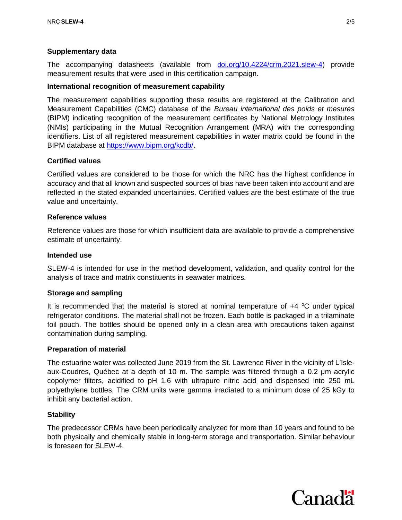## **Supplementary data**

The accompanying datasheets (available from d[oi.org/10.4224/crm.2021.slew-4\)](https://doi.org/10.4224/crm.2021.slew-4) provide measurement results that were used in this certification campaign.

#### **International recognition of measurement capability**

The measurement capabilities supporting these results are registered at the Calibration and Measurement Capabilities (CMC) database of the *Bureau international des poids et mesures* (BIPM) indicating recognition of the measurement certificates by National Metrology Institutes (NMIs) participating in the Mutual Recognition Arrangement (MRA) with the corresponding identifiers. List of all registered measurement capabilities in water matrix could be found in the BIPM database at [https://www.bipm.org/kcdb/.](https://www.bipm.org/kcdb/)

#### **Certified values**

Certified values are considered to be those for which the NRC has the highest confidence in accuracy and that all known and suspected sources of bias have been taken into account and are reflected in the stated expanded uncertainties. Certified values are the best estimate of the true value and uncertainty.

#### **Reference values**

Reference values are those for which insufficient data are available to provide a comprehensive estimate of uncertainty.

#### **Intended use**

SLEW-4 is intended for use in the method development, validation, and quality control for the analysis of trace and matrix constituents in seawater matrices.

#### **Storage and sampling**

It is recommended that the material is stored at nominal temperature of  $+4$  °C under typical refrigerator conditions. The material shall not be frozen. Each bottle is packaged in a trilaminate foil pouch. The bottles should be opened only in a clean area with precautions taken against contamination during sampling.

#### **Preparation of material**

The estuarine water was collected June 2019 from the St. Lawrence River in the vicinity of L'Isleaux-Coudres, Québec at a depth of 10 m. The sample was filtered through a 0.2 μm acrylic copolymer filters, acidified to pH 1.6 with ultrapure nitric acid and dispensed into 250 mL polyethylene bottles. The CRM units were gamma irradiated to a minimum dose of 25 kGy to inhibit any bacterial action.

#### **Stability**

The predecessor CRMs have been periodically analyzed for more than 10 years and found to be both physically and chemically stable in long-term storage and transportation. Similar behaviour is foreseen for SLEW-4.

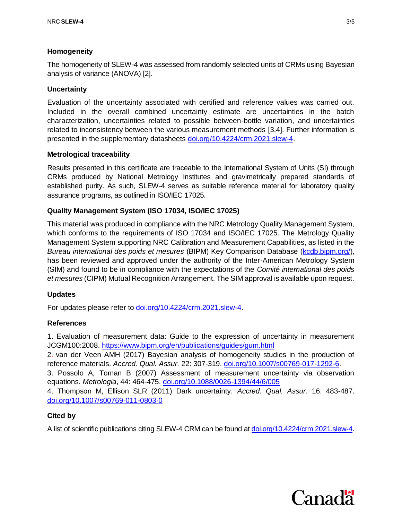## **Homogeneity**

The homogeneity of SLEW-4 was assessed from randomly selected units of CRMs using Bayesian analysis of variance (ANOVA) [2].

## **Uncertainty**

Evaluation of the uncertainty associated with certified and reference values was carried out. Included in the overall combined uncertainty estimate are uncertainties in the batch characterization, uncertainties related to possible between-bottle variation, and uncertainties related to inconsistency between the various measurement methods [3,4]. Further information is presented in the supplementary datasheets [doi.org/10.4224/crm.2021.slew-4.](https://doi.org/10.4224/crm.2021.slew-4)

## **Metrological traceability**

Results presented in this certificate are traceable to the International System of Units (SI) through CRMs produced by National Metrology Institutes and gravimetrically prepared standards of established purity. As such, SLEW-4 serves as suitable reference material for laboratory quality assurance programs, as outlined in ISO/IEC 17025.

## **Quality Management System (ISO 17034, ISO/IEC 17025)**

This material was produced in compliance with the NRC Metrology Quality Management System, which conforms to the requirements of ISO 17034 and ISO/IEC 17025. The Metrology Quality Management System supporting NRC Calibration and Measurement Capabilities, as listed in the *Bureau international des poids et mesures* (BIPM) Key Comparison Database [\(kcdb.bipm.org/\)](http://kcdb.bipm.org/), has been reviewed and approved under the authority of the Inter-American Metrology System (SIM) and found to be in compliance with the expectations of the *Comité international des poids et mesures* (CIPM) Mutual Recognition Arrangement. The SIM approval is available upon request.

## **Updates**

For updates please refer to [doi.org/10.4224/crm.2021.slew-4.](https://doi.org/10.4224/crm.2021.slew-4)

## **References**

1. Evaluation of measurement data: Guide to the expression of uncertainty in measurement JCGM100:2008.<https://www.bipm.org/en/publications/guides/gum.html>

2. van der Veen AMH (2017) Bayesian analysis of homogeneity studies in the production of reference materials. *Accred. Qual. Assur.* 22: 307-319. [doi.org/10.1007/s00769-017-1292-6.](doi:%2010.1007/s00769-017-1292-6)

3. Possolo A, Toman B (2007) Assessment of measurement uncertainty via observation equations. *Metrologia*, 44: 464-475. [doi.org/10.1088/0026-1394/44/6/005](file:///C:/Users/grinbergp/Documents/CRMs/DORM-5/certificate%20of%20analysis/doi.org/10.1088/0026-1394/44/6/005)

4. Thompson M, Ellison SLR (2011) Dark uncertainty. *Accred. Qual. Assur.* 16: 483-487. [doi.org/10.1007/s00769-011-0803-0](file:///C:/Users/grinbergp/Documents/CRMs/DORM-5/certificate%20of%20analysis/doi.org/10.1007/s00769-011-0803-0)

## **Cited by**

A list of scientific publications citing SLEW-4 CRM can be found at [doi.org/10.4224/crm.2021.slew-4.](https://doi.org/10.4224/crm.2021.slew-4)

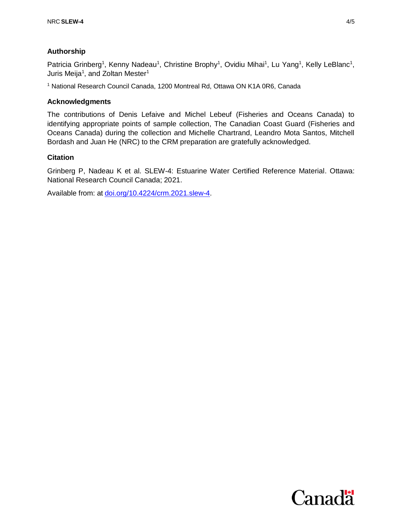## **Authorship**

Patricia Grinberg<sup>1</sup>, Kenny Nadeau<sup>1</sup>, Christine Brophy<sup>1</sup>, Ovidiu Mihai<sup>1</sup>, Lu Yang<sup>1</sup>, Kelly LeBlanc<sup>1</sup>, Juris Meija<sup>1</sup>, and Zoltan Mester<sup>1</sup>

<sup>1</sup> National Research Council Canada, 1200 Montreal Rd, Ottawa ON K1A 0R6, Canada

## **Acknowledgments**

The contributions of Denis Lefaive and Michel Lebeuf (Fisheries and Oceans Canada) to identifying appropriate points of sample collection, The Canadian Coast Guard (Fisheries and Oceans Canada) during the collection and Michelle Chartrand, Leandro Mota Santos, Mitchell Bordash and Juan He (NRC) to the CRM preparation are gratefully acknowledged.

## **Citation**

Grinberg P, Nadeau K et al. SLEW-4: Estuarine Water Certified Reference Material. Ottawa: National Research Council Canada; 2021.

Available from: at [doi.org/10.4224/crm.2021.slew-4.](https://doi.org/10.4224/crm.2021.slew-4)